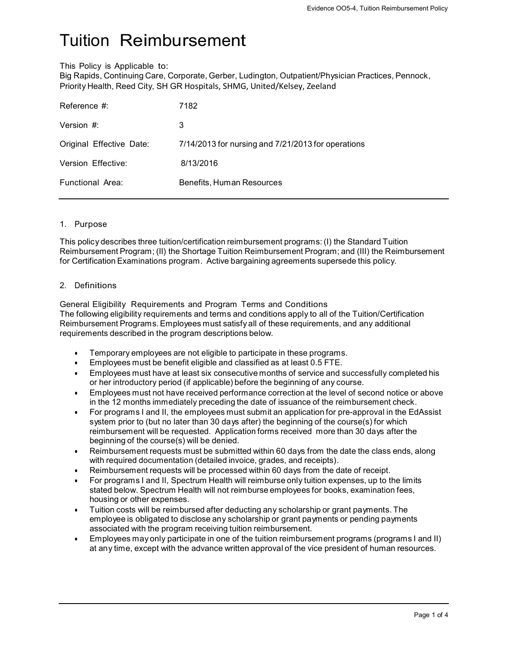# Tuition Reimbursement

This Policy is Applicable to:

Big Rapids, Continuing Care, Corporate, Gerber, Ludington, Outpatient/Physician Practices, Pennock, Priority Health, Reed City, SH GR Hospitals, SHMG, United/Kelsey, Zeeland

| Reference #:             | 7182                                               |
|--------------------------|----------------------------------------------------|
| Version #:               | 3                                                  |
| Original Effective Date: | 7/14/2013 for nursing and 7/21/2013 for operations |
| Version Effective:       | 8/13/2016                                          |
| Functional Area:         | Benefits, Human Resources                          |
|                          |                                                    |

## 1. Purpose

This policy describes three tuition/certification reimbursement programs: (I) the Standard Tuition Reimbursement Program; (II) the Shortage Tuition Reimbursement Program; and (III) the Reimbursement for Certification Examinations program. Active bargaining agreements supersede this policy.

## 2. Definitions

General Eligibility Requirements and Program Terms and Conditions The following eligibility requirements and terms and conditions apply to all of the Tuition/Certification Reimbursement Programs. Employees must satisfy all of these requirements, and any additional requirements described in the program descriptions below.

- Temporary employees are not eligible to participate in these programs.
- Employees must be benefit eligible and classified as at least 0.5 FTE.
- Employees must have at least six consecutive months of service and successfully completed his or her introductory period (if applicable) before the beginning of any course.
- Employees must not have received performance correction at the level of second notice or above in the 12 months immediately preceding the date of issuance of the reimbursement check.
- For programs I and II, the employees must submit an application for pre-approval in the EdAssist system prior to (but no later than 30 days after) the beginning of the course(s) for which reimbursement will be requested. Application forms received more than 30 days after the beginning of the course(s) will be denied.
- Reimbursement requests must be submitted within 60 days from the date the class ends, along with required documentation (detailed invoice, grades, and receipts).
- Reimbursement requests will be processed within 60 days from the date of receipt.
- For programs I and II, Spectrum Health will reimburse only tuition expenses, up to the limits stated below. Spectrum Health will not reimburse employees for books, examination fees, housing or other expenses.
- Tuition costs will be reimbursed after deducting any scholarship or grant payments. The employee is obligated to disclose any scholarship or grant payments or pending payments associated with the program receiving tuition reimbursement.
- Employees may only participate in one of the tuition reimbursement programs (programs I and II) at any time, except with the advance written approval of the vice president of human resources.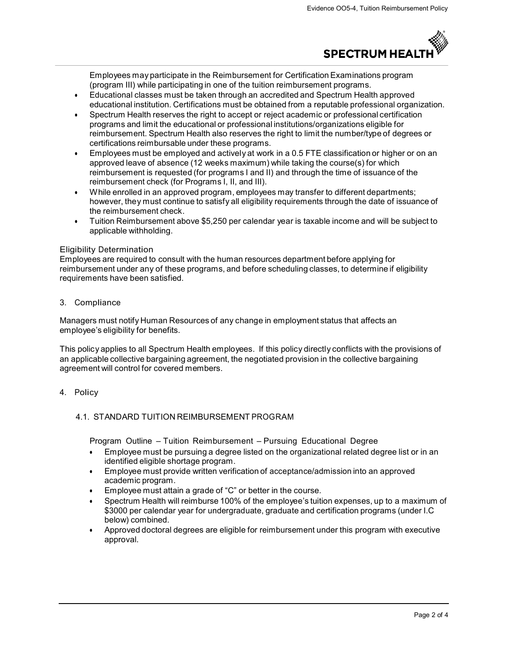

Employees may participate in the Reimbursement for Certification Examinations program (program III) while participating in one of the tuition reimbursement programs.

- Educational classes must be taken through an accredited and Spectrum Health approved educational institution. Certifications must be obtained from a reputable professional organization.
- Spectrum Health reserves the right to accept or reject academic or professional certification programs and limit the educational or professional institutions/organizations eligible for reimbursement. Spectrum Health also reserves the right to limit the number/type of degrees or certifications reimbursable under these programs.
- Employees must be employed and actively at work in a 0.5 FTE classification or higher or on an approved leave of absence (12 weeks maximum) while taking the course(s) for which reimbursement is requested (for programs I and II) and through the time of issuance of the reimbursement check (for Programs I, II, and III).
- While enrolled in an approved program, employees may transfer to different departments; however, they must continue to satisfy all eligibility requirements through the date of issuance of the reimbursement check.
- Tuition Reimbursement above \$5,250 per calendar year is taxable income and will be subject to applicable withholding.

## Eligibility Determination

Employees are required to consult with the human resources department before applying for reimbursement under any of these programs, and before scheduling classes, to determine if eligibility requirements have been satisfied.

3. Compliance

Managers must notify Human Resources of any change in employment status that affects an employee's eligibility for benefits.

This policy applies to all Spectrum Health employees. If this policy directly conflicts with the provisions of an applicable collective bargaining agreement, the negotiated provision in the collective bargaining agreement will control for covered members.

## 4. Policy

## 4.1. STANDARD TUITION REIMBURSEMENT PROGRAM

Program Outline – Tuition Reimbursement – Pursuing Educational Degree

- Employee must be pursuing a degree listed on the organizational related degree list or in an identified eligible shortage program.
- Employee must provide written verification of acceptance/admission into an approved academic program.
- Employee must attain a grade of "C" or better in the course.
- Spectrum Health will reimburse 100% of the employee's tuition expenses, up to a maximum of \$3000 per calendar year for undergraduate, graduate and certification programs (under I.C below) combined.
- Approved doctoral degrees are eligible for reimbursement under this program with executive approval.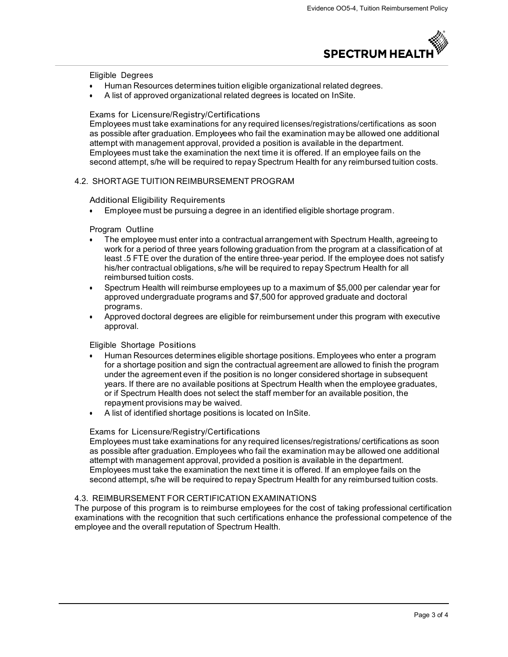

Eligible Degrees

- Human Resources determines tuition eligible organizational related degrees.
- A list of approved organizational related degrees is located on InSite.

#### Exams for Licensure/Registry/Certifications

Employees must take examinations for any required licenses/registrations/certifications as soon as possible after graduation. Employees who fail the examination may be allowed one additional attempt with management approval, provided a position is available in the department. Employees must take the examination the next time it is offered. If an employee fails on the second attempt, s/he will be required to repay Spectrum Health for any reimbursed tuition costs.

#### 4.2. SHORTAGE TUITION REIMBURSEMENT PROGRAM

#### Additional Eligibility Requirements

Employee must be pursuing a degree in an identified eligible shortage program.

#### Program Outline

- The employee must enter into a contractual arrangement with Spectrum Health, agreeing to work for a period of three years following graduation from the program at a classification of at least .5 FTE over the duration of the entire three-year period. If the employee does not satisfy his/her contractual obligations, s/he will be required to repay Spectrum Health for all reimbursed tuition costs.
- Spectrum Health will reimburse employees up to a maximum of \$5,000 per calendar year for approved undergraduate programs and \$7,500 for approved graduate and doctoral programs.
- Approved doctoral degrees are eligible for reimbursement under this program with executive approval.

## Eligible Shortage Positions

- Human Resources determines eligible shortage positions. Employees who enter a program for a shortage position and sign the contractual agreement are allowed to finish the program under the agreement even if the position is no longer considered shortage in subsequent years. If there are no available positions at Spectrum Health when the employee graduates, or if Spectrum Health does not select the staff member for an available position, the repayment provisions may be waived.
- A list of identified shortage positions is located on InSite.

#### Exams for Licensure/Registry/Certifications

Employees must take examinations for any required licenses/registrations/ certifications as soon as possible after graduation. Employees who fail the examination may be allowed one additional attempt with management approval, provided a position is available in the department. Employees must take the examination the next time it is offered. If an employee fails on the second attempt, s/he will be required to repay Spectrum Health for any reimbursed tuition costs.

## 4.3. REIMBURSEMENT FOR CERTIFICATION EXAMINATIONS

The purpose of this program is to reimburse employees for the cost of taking professional certification examinations with the recognition that such certifications enhance the professional competence of the employee and the overall reputation of Spectrum Health.